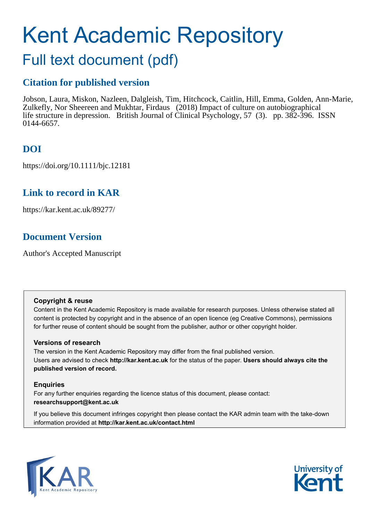# Kent Academic Repository

# Full text document (pdf)

# **Citation for published version**

Jobson, Laura, Miskon, Nazleen, Dalgleish, Tim, Hitchcock, Caitlin, Hill, Emma, Golden, Ann-Marie, Zulkefly, Nor Sheereen and Mukhtar, Firdaus (2018) Impact of culture on autobiographical life structure in depression. British Journal of Clinical Psychology, 57 (3). pp. 382-396. ISSN 0144-6657.

# **DOI**

https://doi.org/10.1111/bjc.12181

## **Link to record in KAR**

https://kar.kent.ac.uk/89277/

## **Document Version**

Author's Accepted Manuscript

## **Copyright & reuse**

Content in the Kent Academic Repository is made available for research purposes. Unless otherwise stated all content is protected by copyright and in the absence of an open licence (eg Creative Commons), permissions for further reuse of content should be sought from the publisher, author or other copyright holder.

## **Versions of research**

The version in the Kent Academic Repository may differ from the final published version. Users are advised to check **http://kar.kent.ac.uk** for the status of the paper. **Users should always cite the published version of record.**

## **Enquiries**

For any further enquiries regarding the licence status of this document, please contact: **researchsupport@kent.ac.uk**

If you believe this document infringes copyright then please contact the KAR admin team with the take-down information provided at **http://kar.kent.ac.uk/contact.html**



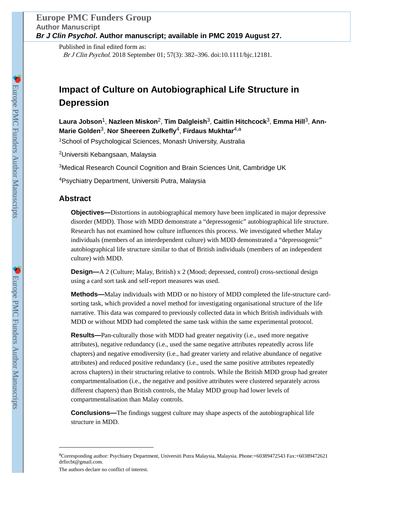Published in final edited form as: Br J Clin Psychol. 2018 September 01; 57(3): 382–396. doi:10.1111/bjc.12181.

# **Impact of Culture on Autobiographical Life Structure in Depression**

**Laura Jobson**1, **Nazleen Miskon**2, **Tim Dalgleish**3, **Caitlin Hitchcock**3, **Emma Hill**3, **Ann-Marie Golden**3, **Nor Sheereen Zulkefly**4, **Firdaus Mukhtar**4,a

<sup>1</sup>School of Psychological Sciences, Monash University, Australia

<sup>2</sup>Universiti Kebangsaan, Malaysia

<sup>3</sup>Medical Research Council Cognition and Brain Sciences Unit, Cambridge UK

<sup>4</sup>Psychiatry Department, Universiti Putra, Malaysia

## **Abstract**

**Objectives—**Distortions in autobiographical memory have been implicated in major depressive disorder (MDD). Those with MDD demonstrate a "depressogenic" autobiographical life structure. Research has not examined how culture influences this process. We investigated whether Malay individuals (members of an interdependent culture) with MDD demonstrated a "depressogenic" autobiographical life structure similar to that of British individuals (members of an independent culture) with MDD.

**Design—**A 2 (Culture; Malay, British) x 2 (Mood; depressed, control) cross-sectional design using a card sort task and self-report measures was used.

**Methods—**Malay individuals with MDD or no history of MDD completed the life-structure cardsorting task, which provided a novel method for investigating organisational structure of the life narrative. This data was compared to previously collected data in which British individuals with MDD or without MDD had completed the same task within the same experimental protocol.

**Results—**Pan-culturally those with MDD had greater negativity (i.e., used more negative attributes), negative redundancy (i.e., used the same negative attributes repeatedly across life chapters) and negative emodiversity (i.e., had greater variety and relative abundance of negative attributes) and reduced positive redundancy (i.e., used the same positive attributes repeatedly across chapters) in their structuring relative to controls. While the British MDD group had greater compartmentalisation (i.e., the negative and positive attributes were clustered separately across different chapters) than British controls, the Malay MDD group had lower levels of compartmentalisation than Malay controls.

**Conclusions—**The findings suggest culture may shape aspects of the autobiographical life structure in MDD.

The authors declare no conflict of interest.

<sup>a</sup>Corresponding author: Psychiatry Department, Universiti Putra Malaysia, Malaysia. Phone:+60389472543 Fax:+60389472621 drfircbt@gmail.com.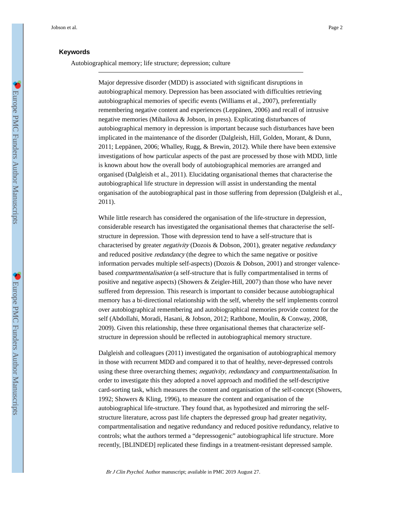#### **Keywords**

Autobiographical memory; life structure; depression; culture

Major depressive disorder (MDD) is associated with significant disruptions in autobiographical memory. Depression has been associated with difficulties retrieving autobiographical memories of specific events (Williams et al., 2007), preferentially remembering negative content and experiences (Leppänen, 2006) and recall of intrusive negative memories (Mihailova & Jobson, in press). Explicating disturbances of autobiographical memory in depression is important because such disturbances have been implicated in the maintenance of the disorder (Dalgleish, Hill, Golden, Morant, & Dunn, 2011; Leppänen, 2006; Whalley, Rugg, & Brewin, 2012). While there have been extensive investigations of how particular aspects of the past are processed by those with MDD, little is known about how the overall body of autobiographical memories are arranged and organised (Dalgleish et al., 2011). Elucidating organisational themes that characterise the autobiographical life structure in depression will assist in understanding the mental organisation of the autobiographical past in those suffering from depression (Dalgleish et al., 2011).

While little research has considered the organisation of the life-structure in depression, considerable research has investigated the organisational themes that characterise the selfstructure in depression. Those with depression tend to have a self-structure that is characterised by greater negativity (Dozois & Dobson, 2001), greater negative redundancy and reduced positive *redundancy* (the degree to which the same negative or positive information pervades multiple self-aspects) (Dozois & Dobson, 2001) and stronger valencebased compartmentalisation (a self-structure that is fully compartmentalised in terms of positive and negative aspects) (Showers & Zeigler-Hill, 2007) than those who have never suffered from depression. This research is important to consider because autobiographical memory has a bi-directional relationship with the self, whereby the self implements control over autobiographical remembering and autobiographical memories provide context for the self (Abdollahi, Moradi, Hasani, & Jobson, 2012; Rathbone, Moulin, & Conway, 2008, 2009). Given this relationship, these three organisational themes that characterize selfstructure in depression should be reflected in autobiographical memory structure.

Dalgleish and colleagues (2011) investigated the organisation of autobiographical memory in those with recurrent MDD and compared it to that of healthy, never-depressed controls using these three overarching themes; negativity, redundancy and compartmentalisation. In order to investigate this they adopted a novel approach and modified the self-descriptive card-sorting task, which measures the content and organisation of the self-concept (Showers, 1992; Showers & Kling, 1996), to measure the content and organisation of the autobiographical life-structure. They found that, as hypothesized and mirroring the selfstructure literature, across past life chapters the depressed group had greater negativity, compartmentalisation and negative redundancy and reduced positive redundancy, relative to controls; what the authors termed a "depressogenic" autobiographical life structure. More recently, [BLINDED] replicated these findings in a treatment-resistant depressed sample.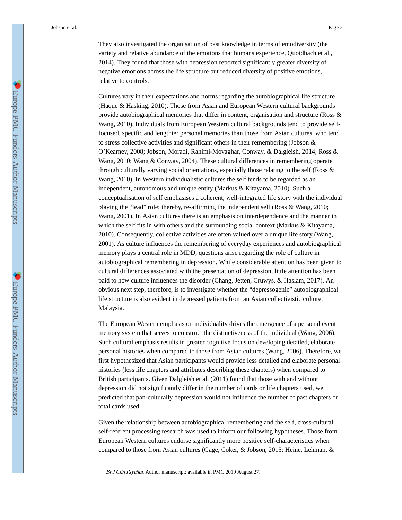They also investigated the organisation of past knowledge in terms of emodiversity (the variety and relative abundance of the emotions that humans experience, Quoidbach et al., 2014). They found that those with depression reported significantly greater diversity of negative emotions across the life structure but reduced diversity of positive emotions, relative to controls.

Cultures vary in their expectations and norms regarding the autobiographical life structure (Haque & Hasking, 2010). Those from Asian and European Western cultural backgrounds provide autobiographical memories that differ in content, organisation and structure (Ross & Wang, 2010). Individuals from European Western cultural backgrounds tend to provide selffocused, specific and lengthier personal memories than those from Asian cultures, who tend to stress collective activities and significant others in their remembering (Jobson  $\&$ O'Kearney, 2008; Jobson, Moradi, Rahimi-Movaghar, Conway, & Dalgleish, 2014; Ross & Wang, 2010; Wang & Conway, 2004). These cultural differences in remembering operate through culturally varying social orientations, especially those relating to the self (Ross & Wang, 2010). In Western individualistic cultures the self tends to be regarded as an independent, autonomous and unique entity (Markus & Kitayama, 2010). Such a conceptualisation of self emphasises a coherent, well-integrated life story with the individual playing the "lead" role; thereby, re-affirming the independent self (Ross & Wang, 2010; Wang, 2001). In Asian cultures there is an emphasis on interdependence and the manner in which the self fits in with others and the surrounding social context (Markus & Kitayama, 2010). Consequently, collective activities are often valued over a unique life story (Wang, 2001). As culture influences the remembering of everyday experiences and autobiographical memory plays a central role in MDD, questions arise regarding the role of culture in autobiographical remembering in depression. While considerable attention has been given to cultural differences associated with the presentation of depression, little attention has been paid to how culture influences the disorder (Chang, Jetten, Cruwys, & Haslam, 2017). An obvious next step, therefore, is to investigate whether the "depressogenic" autobiographical life structure is also evident in depressed patients from an Asian collectivistic culture; Malaysia.

The European Western emphasis on individuality drives the emergence of a personal event memory system that serves to construct the distinctiveness of the individual (Wang, 2006). Such cultural emphasis results in greater cognitive focus on developing detailed, elaborate personal histories when compared to those from Asian cultures (Wang, 2006). Therefore, we first hypothesized that Asian participants would provide less detailed and elaborate personal histories (less life chapters and attributes describing these chapters) when compared to British participants. Given Dalgleish et al. (2011) found that those with and without depression did not significantly differ in the number of cards or life chapters used, we predicted that pan-culturally depression would not influence the number of past chapters or total cards used.

Given the relationship between autobiographical remembering and the self, cross-cultural self-referent processing research was used to inform our following hypotheses. Those from European Western cultures endorse significantly more positive self-characteristics when compared to those from Asian cultures (Gage, Coker, & Jobson, 2015; Heine, Lehman, &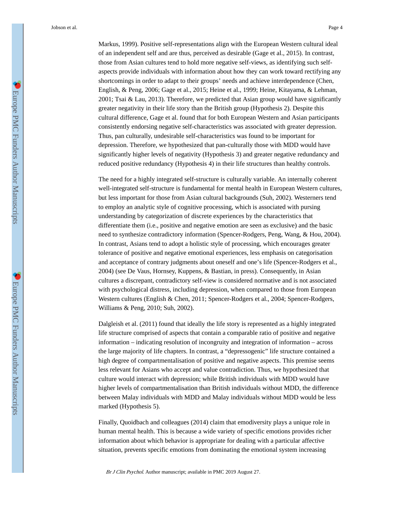Markus, 1999). Positive self-representations align with the European Western cultural ideal of an independent self and are thus, perceived as desirable (Gage et al., 2015). In contrast, those from Asian cultures tend to hold more negative self-views, as identifying such selfaspects provide individuals with information about how they can work toward rectifying any shortcomings in order to adapt to their groups' needs and achieve interdependence (Chen, English, & Peng, 2006; Gage et al., 2015; Heine et al., 1999; Heine, Kitayama, & Lehman, 2001; Tsai & Lau, 2013). Therefore, we predicted that Asian group would have significantly greater negativity in their life story than the British group (Hypothesis 2). Despite this cultural difference, Gage et al. found that for both European Western and Asian participants consistently endorsing negative self-characteristics was associated with greater depression. Thus, pan culturally, undesirable self-characteristics was found to be important for depression. Therefore, we hypothesized that pan-culturally those with MDD would have significantly higher levels of negativity (Hypothesis 3) and greater negative redundancy and reduced positive redundancy (Hypothesis 4) in their life structures than healthy controls.

The need for a highly integrated self-structure is culturally variable. An internally coherent well-integrated self-structure is fundamental for mental health in European Western cultures, but less important for those from Asian cultural backgrounds (Suh, 2002). Westerners tend to employ an analytic style of cognitive processing, which is associated with pursing understanding by categorization of discrete experiences by the characteristics that differentiate them (i.e., positive and negative emotion are seen as exclusive) and the basic need to synthesize contradictory information (Spencer-Rodgers, Peng, Wang, & Hou, 2004). In contrast, Asians tend to adopt a holistic style of processing, which encourages greater tolerance of positive and negative emotional experiences, less emphasis on categorisation and acceptance of contrary judgments about oneself and one's life (Spencer-Rodgers et al., 2004) (see De Vaus, Hornsey, Kuppens, & Bastian, in press). Consequently, in Asian cultures a discrepant, contradictory self-view is considered normative and is not associated with psychological distress, including depression, when compared to those from European Western cultures (English & Chen, 2011; Spencer-Rodgers et al., 2004; Spencer-Rodgers, Williams & Peng, 2010; Suh, 2002).

Dalgleish et al. (2011) found that ideally the life story is represented as a highly integrated life structure comprised of aspects that contain a comparable ratio of positive and negative information – indicating resolution of incongruity and integration of information – across the large majority of life chapters. In contrast, a "depressogenic" life structure contained a high degree of compartmentalisation of positive and negative aspects. This premise seems less relevant for Asians who accept and value contradiction. Thus, we hypothesized that culture would interact with depression; while British individuals with MDD would have higher levels of compartmentalisation than British individuals without MDD, the difference between Malay individuals with MDD and Malay individuals without MDD would be less marked (Hypothesis 5).

Finally, Quoidbach and colleagues (2014) claim that emodiversity plays a unique role in human mental health. This is because a wide variety of specific emotions provides richer information about which behavior is appropriate for dealing with a particular affective situation, prevents specific emotions from dominating the emotional system increasing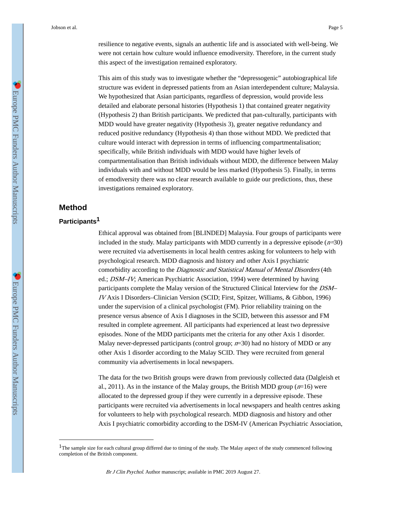resilience to negative events, signals an authentic life and is associated with well-being. We were not certain how culture would influence emodiversity. Therefore, in the current study this aspect of the investigation remained exploratory.

This aim of this study was to investigate whether the "depressogenic" autobiographical life structure was evident in depressed patients from an Asian interdependent culture; Malaysia. We hypothesized that Asian participants, regardless of depression, would provide less detailed and elaborate personal histories (Hypothesis 1) that contained greater negativity (Hypothesis 2) than British participants. We predicted that pan-culturally, participants with MDD would have greater negativity (Hypothesis 3), greater negative redundancy and reduced positive redundancy (Hypothesis 4) than those without MDD. We predicted that culture would interact with depression in terms of influencing compartmentalisation; specifically, while British individuals with MDD would have higher levels of compartmentalisation than British individuals without MDD, the difference between Malay individuals with and without MDD would be less marked (Hypothesis 5). Finally, in terms of emodiversity there was no clear research available to guide our predictions, thus, these investigations remained exploratory.

#### **Method**

#### **Participants1**

Ethical approval was obtained from [BLINDED] Malaysia. Four groups of participants were included in the study. Malay participants with MDD currently in a depressive episode  $(n=30)$ were recruited via advertisements in local health centres asking for volunteers to help with psychological research. MDD diagnosis and history and other Axis I psychiatric comorbidity according to the *Diagnostic and Statistical Manual of Mental Disorders* (4th ed.; DSM–IV; American Psychiatric Association, 1994) were determined by having participants complete the Malay version of the Structured Clinical Interview for the DSM– IV Axis I Disorders–Clinician Version (SCID; First, Spitzer, Williams, & Gibbon, 1996) under the supervision of a clinical psychologist (FM). Prior reliability training on the presence versus absence of Axis I diagnoses in the SCID, between this assessor and FM resulted in complete agreement. All participants had experienced at least two depressive episodes. None of the MDD participants met the criteria for any other Axis 1 disorder. Malay never-depressed participants (control group;  $n=30$ ) had no history of MDD or any other Axis 1 disorder according to the Malay SCID. They were recruited from general community via advertisements in local newspapers.

The data for the two British groups were drawn from previously collected data (Dalgleish et al., 2011). As in the instance of the Malay groups, the British MDD group  $(n=16)$  were allocated to the depressed group if they were currently in a depressive episode. These participants were recruited via advertisements in local newspapers and health centres asking for volunteers to help with psychological research. MDD diagnosis and history and other Axis I psychiatric comorbidity according to the DSM-IV (American Psychiatric Association,

<sup>&</sup>lt;sup>1</sup>The sample size for each cultural group differed due to timing of the study. The Malay aspect of the study commenced following completion of the British component.

Br J Clin Psychol. Author manuscript; available in PMC 2019 August 27.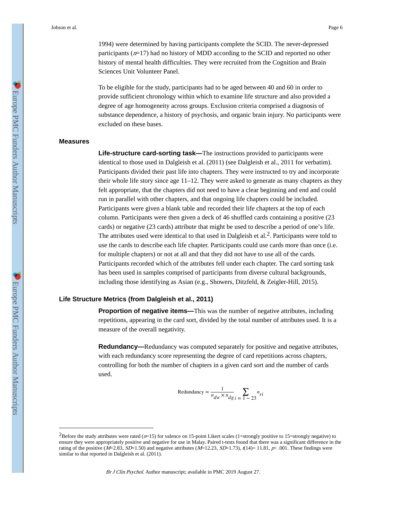1994) were determined by having participants complete the SCID. The never-depressed participants  $(n=17)$  had no history of MDD according to the SCID and reported no other history of mental health difficulties. They were recruited from the Cognition and Brain Sciences Unit Volunteer Panel.

To be eligible for the study, participants had to be aged between 40 and 60 in order to provide sufficient chronology within which to examine life structure and also provided a degree of age homogeneity across groups. Exclusion criteria comprised a diagnosis of substance dependence, a history of psychosis, and organic brain injury. No participants were excluded on these bases.

#### **Measures**

**Life-structure card-sorting task—**The instructions provided to participants were identical to those used in Dalgleish et al. (2011) (see Dalgleish et al., 2011 for verbatim). Participants divided their past life into chapters. They were instructed to try and incorporate their whole life story since age 11–12. They were asked to generate as many chapters as they felt appropriate, that the chapters did not need to have a clear beginning and end and could run in parallel with other chapters, and that ongoing life chapters could be included. Participants were given a blank table and recorded their life chapters at the top of each column. Participants were then given a deck of 46 shuffled cards containing a positive (23 cards) or negative (23 cards) attribute that might be used to describe a period of one's life. The attributes used were identical to that used in Dalgleish et al.<sup>2</sup>. Participants were told to use the cards to describe each life chapter. Participants could use cards more than once (i.e. for multiple chapters) or not at all and that they did not have to use all of the cards. Participants recorded which of the attributes fell under each chapter. The card sorting task has been used in samples comprised of participants from diverse cultural backgrounds, including those identifying as Asian (e.g., Showers, Ditzfeld, & Zeigler-Hill, 2015).

#### **Life Structure Metrics (from Dalgleish et al., 2011)**

**Proportion of negative items—This was the number of negative attributes, including** repetitions, appearing in the card sort, divided by the total number of attributes used. It is a measure of the overall negativity.

**Redundancy**—Redundancy was computed separately for positive and negative attributes, with each redundancy score representing the degree of card repetitions across chapters, controlling for both the number of chapters in a given card sort and the number of cards used.

$$
Redundancy = \frac{1}{n_{dw} \times n_{dg}} \sum_{i=1}^{n} \sum_{i=23}^{n_{ri}}
$$

<sup>&</sup>lt;sup>2</sup>Before the study attributes were rated ( $n=15$ ) for valence on 15-point Likert scales (1=strongly positive to 15=strongly negative) to ensure they were appropriately positive and negative for use in Malay. Paired t-tests found that there was a significant difference in the rating of the positive ( $M=2.83$ ,  $SD=1.50$ ) and negative attributes ( $M=12.23$ ,  $SD=1.73$ ),  $t(14)=11.81$ ,  $p< .001$ . These findings were similar to that reported in Dalgleish et al. (2011).

Br J Clin Psychol. Author manuscript; available in PMC 2019 August 27.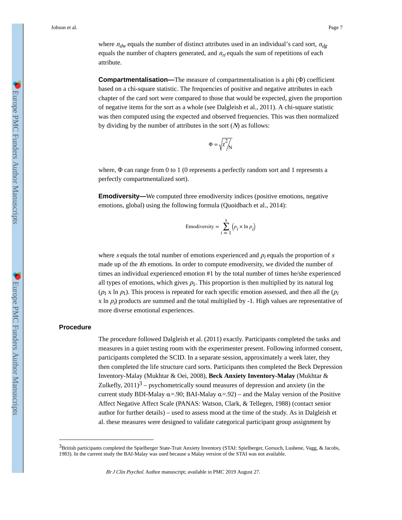**Compartmentalisation—**The measure of compartmentalisation is a phi (Φ) coefficient based on a chi-square statistic. The frequencies of positive and negative attributes in each chapter of the card sort were compared to those that would be expected, given the proportion of negative items for the sort as a whole (see Dalgleish et al., 2011). A chi-square statistic was then computed using the expected and observed frequencies. This was then normalized by dividing by the number of attributes in the sort  $(N)$  as follows:

$$
\Phi=\sqrt{\chi^2\!\!\left.\right/_{\!\!\!\!\!\!\!\!\!\!\!\!\!\nearrow} N}
$$

where, Φ can range from 0 to 1 (0 represents a perfectly random sort and 1 represents a perfectly compartmentalized sort).

**Emodiversity—**We computed three emodiversity indices (positive emotions, negative emotions, global) using the following formula (Quoidbach et al., 2014):

$$
Emodiversity = \sum_{i=1}^{s} (p_i \times \ln p_i)
$$

where s equals the total number of emotions experienced and  $p_i$  equals the proportion of s made up of the *i*th emotions. In order to compute emodiversity, we divided the number of times an individual experienced emotion #1 by the total number of times he/she experienced all types of emotions, which gives  $p_1$ . This proportion is then multiplied by its natural log  $(p_1 x \ln p_1)$ . This process is repeated for each specific emotion assessed, and then all the  $(p_i$ x ln  $p_i$ ) products are summed and the total multiplied by  $-1$ . High values are representative of more diverse emotional experiences.

#### **Procedure**

The procedure followed Dalgleish et al. (2011) exactly. Participants completed the tasks and measures in a quiet testing room with the experimenter present. Following informed consent, participants completed the SCID. In a separate session, approximately a week later, they then completed the life structure card sorts. Participants then completed the Beck Depression Inventory-Malay (Mukhtar & Oei, 2008), **Beck Anxiety Inventory-Malay** (Mukhtar & Zulkefly,  $2011$ )<sup>3</sup> – psychometrically sound measures of depression and anxiety (in the current study BDI-Malay  $\alpha = .90$ ; BAI-Malay  $\alpha = .92$ ) – and the Malay version of the Positive Affect Negative Affect Scale (PANAS: Watson, Clark, & Tellegen, 1988) (contact senior author for further details) – used to assess mood at the time of the study. As in Dalgleish et al. these measures were designed to validate categorical participant group assignment by

<sup>3</sup>British participants completed the Spielberger State-Trait Anxiety Inventory (STAI: Spielberger, Gorsuch, Lushene, Vagg, & Jacobs, 1983). In the current study the BAI-Malay was used because a Malay version of the STAI was not available.

Br J Clin Psychol. Author manuscript; available in PMC 2019 August 27.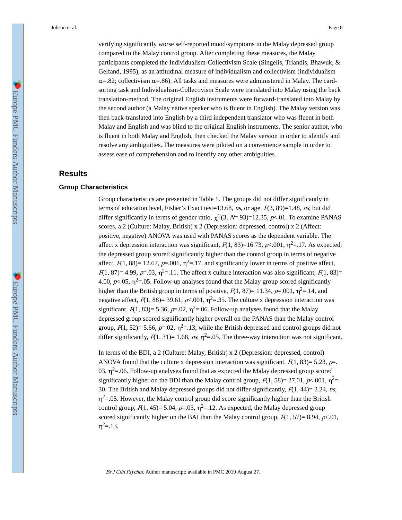verifying significantly worse self-reported mood/symptoms in the Malay depressed group compared to the Malay control group. After completing these measures, the Malay participants completed the Individualism-Collectivism Scale (Singelis, Triandis, Bhawuk, & Gelfand, 1995), as an attitudinal measure of individualism and collectivism (individualism  $\alpha$ =.82; collectivism  $\alpha$ =.86). All tasks and measures were administered in Malay. The cardsorting task and Individualism-Collectivism Scale were translated into Malay using the back translation-method. The original English instruments were forward-translated into Malay by the second author (a Malay native speaker who is fluent in English). The Malay version was then back-translated into English by a third independent translator who was fluent in both Malay and English and was blind to the original English instruments. The senior author, who is fluent in both Malay and English, then checked the Malay version in order to identify and resolve any ambiguities. The measures were piloted on a convenience sample in order to assess ease of comprehension and to identify any other ambiguities.

#### **Results**

#### **Group Characteristics**

Group characteristics are presented in Table 1. The groups did not differ significantly in terms of education level, Fisher's Exact test=13.68, ns, or age,  $F(3, 89)=1.48$ , ns, but did differ significantly in terms of gender ratio,  $\chi^2(3, N=93)=12.35$ ,  $p<.01$ . To examine PANAS scores, a 2 (Culture: Malay, British) x 2 (Depression: depressed, control) x 2 (Affect: positive, negative) ANOVA was used with PANAS scores as the dependent variable. The affect x depression interaction was significant,  $F(1, 83)=16.73$ ,  $p<.001$ ,  $\eta^2=.17$ . As expected, the depressed group scored significantly higher than the control group in terms of negative affect,  $F(1, 88) = 12.67$ ,  $p=0.001$ ,  $\eta^2 = 17$ , and significantly lower in terms of positive affect,  $F(1, 87) = 4.99$ ,  $p=0.03$ ,  $\eta^2 = 11$ . The affect x culture interaction was also significant,  $F(1, 83) =$ 4.00,  $p<sub>1</sub>0.05$ ,  $n<sup>2</sup>=0.05$ . Follow-up analyses found that the Malay group scored significantly higher than the British group in terms of positive,  $R(1, 87)=11.34$ ,  $p=.001$ ,  $\eta^2=.14$ , and negative affect,  $F(1, 88) = 39.61$ ,  $p \le 0.001$ ,  $\eta^2 = 0.35$ . The culture x depression interaction was significant,  $F(1, 83) = 5.36$ ,  $p=0.02$ ,  $\eta^2 = 0.06$ . Follow-up analyses found that the Malay depressed group scored significantly higher overall on the PANAS than the Malay control group,  $F(1, 52)= 5.66$ ,  $p=.02$ ,  $\eta^2=.13$ , while the British depressed and control groups did not differ significantly,  $F(1, 31) = 1.68$ , ns,  $\eta^2 = .05$ . The three-way interaction was not significant.

In terms of the BDI, a 2 (Culture: Malay, British) x 2 (Depression: depressed, control) ANOVA found that the culture x depression interaction was significant,  $F(1, 83) = 5.23$ ,  $p=$ . 03,  $\eta^2$ =.06. Follow-up analyses found that as expected the Malay depressed group scored significantly higher on the BDI than the Malay control group,  $F(1, 58) = 27.01$ ,  $p \times 0.001$ ,  $\eta^2 =$ . 30. The British and Malay depressed groups did not differ significantly,  $F(1, 44) = 2.24$ , ns,  $\eta^2$ =.05. However, the Malay control group did score significantly higher than the British control group,  $R(1, 45)= 5.04$ ,  $p=.03$ ,  $\eta^2=.12$ . As expected, the Malay depressed group scored significantly higher on the BAI than the Malay control group,  $F(1, 57) = 8.94$ ,  $p \times 0.01$ ,  $\eta^2 = .13$ .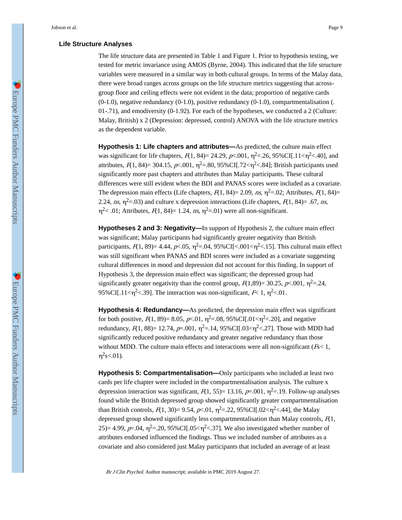#### **Life Structure Analyses**

The life structure data are presented in Table 1 and Figure 1. Prior to hypothesis testing, we tested for metric invariance using AMOS (Byrne, 2004). This indicated that the life structure variables were measured in a similar way in both cultural groups. In terms of the Malay data, there were broad ranges across groups on the life structure metrics suggesting that acrossgroup floor and ceiling effects were not evident in the data; proportion of negative cards  $(0-1.0)$ , negative redundancy  $(0-1.0)$ , positive redundancy  $(0-1.0)$ , compartmentalisation (. 01-.71), and emodiversity  $(0-1.92)$ . For each of the hypotheses, we conducted a 2 (Culture: Malay, British) x 2 (Depression: depressed, control) ANOVA with the life structure metrics as the dependent variable.

**Hypothesis 1: Life chapters and attributes—**As predicted, the culture main effect was significant for life chapters,  $F(1, 84) = 24.29$ ,  $p<.001$ ,  $\eta^2 = .26$ ,  $95\%$ CI[.11< $\eta^2$  <.40], and attributes,  $F(1, 84) = 304.15$ ,  $p<.001$ ,  $\eta^2 = .80$ ,  $95\%$ CI[.72< $\eta^2 < .84$ ]; British participants used significantly more past chapters and attributes than Malay participants. These cultural differences were still evident when the BDI and PANAS scores were included as a covariate. The depression main effects (Life chapters,  $F(1, 84)=2.09$ ,  $ns$ ,  $\eta^2=0.02$ ; Attributes,  $F(1, 84)=$ 2.24, ns,  $\eta^2$ =.03) and culture x depression interactions (Life chapters,  $F(1, 84)$ = .67, ns,  $\eta^2$  < .01; Attributes,  $F(1, 84)$  = 1.24, ns,  $\eta^2$  = .01) were all non-significant.

**Hypotheses 2 and 3: Negativity—**In support of Hypothesis 2, the culture main effect was significant; Malay participants had significantly greater negativity than British participants,  $F(1, 89) = 4.44$ ,  $p \lt 0.05$ ,  $\eta^2 = 0.04$ ,  $95\%$ CI[ $\lt 0.01 \lt \eta^2 \lt 0.15$ ]. This cultural main effect was still significant when PANAS and BDI scores were included as a covariate suggesting cultural differences in mood and depression did not account for this finding. In support of Hypothesis 3, the depression main effect was significant; the depressed group had significantly greater negativity than the control group,  $F(1,89) = 30.25$ ,  $p<.001$ ,  $\eta^2 = .24$ , 95% CI[.11< $\eta^2$  <.39]. The interaction was non-significant,  $F$  < 1,  $\eta^2$  <.01.

**Hypothesis 4: Redundancy—**As predicted, the depression main effect was significant for both positive,  $F(1, 89) = 8.05$ ,  $p \lt 0.01$ ,  $\eta^2 = 0.08$ ,  $95\%$  CI[.01 $\lt \eta^2 \lt 0.20$ ], and negative redundancy,  $F(1, 88) = 12.74$ ,  $p=0.001$ ,  $\eta^2 = 1.14$ ,  $95\%$ CI[.03< $\eta^2 < .27$ ]. Those with MDD had significantly reduced positive redundancy and greater negative redundancy than those without MDD. The culture main effects and interactions were all non-significant  $(F<sub>5</sub>1,$  $\eta^2$ s<.01).

**Hypothesis 5: Compartmentalisation—**Only participants who included at least two cards per life chapter were included in the compartmentalisation analysis. The culture x depression interaction was significant,  $F(1, 55)=13.16$ ,  $p=.001$ ,  $\eta^2=.19$ . Follow-up analyses found while the British depressed group showed significantly greater compartmentalisation than British controls,  $F(1, 30) = 9.54$ ,  $p \times 0.01$ ,  $\eta^2 = 0.22$ ,  $95\%$ CI[.02 $< \eta^2 < 0.44$ ], the Malay depressed group showed significantly less compartmentalisation than Malay controls,  $F(1)$ , 25)= 4.99, p=.04,  $\eta^2$ =.20, 95%CI[.05< $\eta^2$ <.37]. We also investigated whether number of attributes endorsed influenced the findings. Thus we included number of attributes as a covariate and also considered just Malay participants that included an average of at least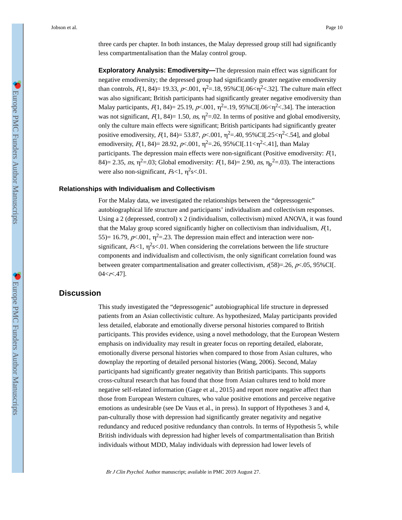three cards per chapter. In both instances, the Malay depressed group still had significantly less compartmentalisation than the Malay control group.

**Exploratory Analysis: Emodiversity—**The depression main effect was significant for negative emodiversity; the depressed group had significantly greater negative emodiversity than controls,  $F(1, 84) = 19.33$ ,  $p\lt 0.001$ ,  $\eta^2 = 0.18$ ,  $95\%$ CI[.06 $\lt \eta^2 \lt 0.32$ ]. The culture main effect was also significant; British participants had significantly greater negative emodiversity than Malay participants,  $F(1, 84) = 25.19$ ,  $p \lt 0.001$ ,  $\eta^2 = 0.19$ ,  $95\%$ CI[.06 $\lt \eta^2 \lt 0.34$ ]. The interaction was not significant,  $F(1, 84)=1.50$ ,  $ns$ ,  $\eta^2=0.02$ . In terms of positive and global emodiversity, only the culture main effects were significant; British participants had significantly greater positive emodiversity,  $F(1, 84) = 53.87$ ,  $p \lt 0.001$ ,  $\eta^2 = 0.40$ ,  $95\%$ CI[.25 $\lt \eta^2 \lt 0.54$ ], and global emodiversity,  $F(1, 84) = 28.92$ ,  $p \le 0.001$ ,  $\eta^2 = 0.26$ ,  $95\%$ CI[.11 $\le \eta^2 \le 0.41$ ], than Malay participants. The depression main effects were non-significant (Positive emodiversity:  $F(1)$ , 84)= 2.35, ns,  $\eta^2$ =.03; Global emodiversity:  $F(1, 84)$ = 2.90, ns,  $\eta_p^2$ =.03). The interactions were also non-significant,  $F<sub>s</sub><1, \eta<sup>2</sup><sub>s</sub><.01$ .

#### **Relationships with Individualism and Collectivism**

For the Malay data, we investigated the relationships between the "depressogenic" autobiographical life structure and participants' individualism and collectivism responses. Using a 2 (depressed, control) x 2 (individualism, collectivism) mixed ANOVA, it was found that the Malay group scored significantly higher on collectivism than individualism,  $F(1)$ , 55) = 16.79,  $p \lt 0.001$ ,  $\eta^2 = 0.23$ . The depression main effect and interaction were nonsignificant,  $F<1$ ,  $\eta^2$ s<.01. When considering the correlations between the life structure components and individualism and collectivism, the only significant correlation found was between greater compartmentalisation and greater collectivism,  $r(58)=.26$ ,  $p<.05$ , 95%CI[.  $04 < r < 0.47$ ].

### **Discussion**

This study investigated the "depressogenic" autobiographical life structure in depressed patients from an Asian collectivistic culture. As hypothesized, Malay participants provided less detailed, elaborate and emotionally diverse personal histories compared to British participants. This provides evidence, using a novel methodology, that the European Western emphasis on individuality may result in greater focus on reporting detailed, elaborate, emotionally diverse personal histories when compared to those from Asian cultures, who downplay the reporting of detailed personal histories (Wang, 2006). Second, Malay participants had significantly greater negativity than British participants. This supports cross-cultural research that has found that those from Asian cultures tend to hold more negative self-related information (Gage et al., 2015) and report more negative affect than those from European Western cultures, who value positive emotions and perceive negative emotions as undesirable (see De Vaus et al., in press). In support of Hypotheses 3 and 4, pan-culturally those with depression had significantly greater negativity and negative redundancy and reduced positive redundancy than controls. In terms of Hypothesis 5, while British individuals with depression had higher levels of compartmentalisation than British individuals without MDD, Malay individuals with depression had lower levels of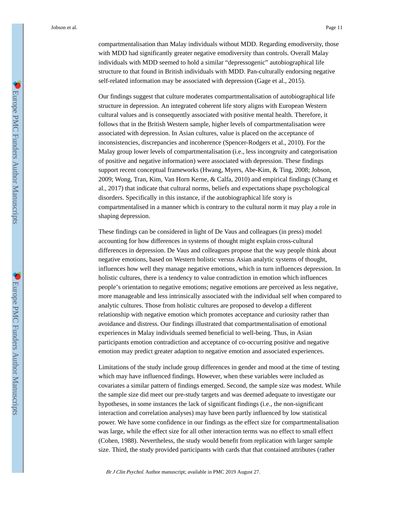compartmentalisation than Malay individuals without MDD. Regarding emodiversity, those with MDD had significantly greater negative emodiversity than controls. Overall Malay individuals with MDD seemed to hold a similar "depressogenic" autobiographical life structure to that found in British individuals with MDD. Pan-culturally endorsing negative self-related information may be associated with depression (Gage et al., 2015).

Our findings suggest that culture moderates compartmentalisation of autobiographical life structure in depression. An integrated coherent life story aligns with European Western cultural values and is consequently associated with positive mental health. Therefore, it follows that in the British Western sample, higher levels of compartmentalisation were associated with depression. In Asian cultures, value is placed on the acceptance of inconsistencies, discrepancies and incoherence (Spencer-Rodgers et al., 2010). For the Malay group lower levels of compartmentalisation (i.e., less incongruity and categorisation of positive and negative information) were associated with depression. These findings support recent conceptual frameworks (Hwang, Myers, Abe-Kim, & Ting, 2008; Jobson, 2009; Wong, Tran, Kim, Van Horn Kerne, & Calfa, 2010) and empirical findings (Chang et al., 2017) that indicate that cultural norms, beliefs and expectations shape psychological disorders. Specifically in this instance, if the autobiographical life story is compartmentalised in a manner which is contrary to the cultural norm it may play a role in shaping depression.

These findings can be considered in light of De Vaus and colleagues (in press) model accounting for how differences in systems of thought might explain cross-cultural differences in depression. De Vaus and colleagues propose that the way people think about negative emotions, based on Western holistic versus Asian analytic systems of thought, influences how well they manage negative emotions, which in turn influences depression. In holistic cultures, there is a tendency to value contradiction in emotion which influences people's orientation to negative emotions; negative emotions are perceived as less negative, more manageable and less intrinsically associated with the individual self when compared to analytic cultures. Those from holistic cultures are proposed to develop a different relationship with negative emotion which promotes acceptance and curiosity rather than avoidance and distress. Our findings illustrated that compartmentalisation of emotional experiences in Malay individuals seemed beneficial to well-being. Thus, in Asian participants emotion contradiction and acceptance of co-occurring positive and negative emotion may predict greater adaption to negative emotion and associated experiences.

Limitations of the study include group differences in gender and mood at the time of testing which may have influenced findings. However, when these variables were included as covariates a similar pattern of findings emerged. Second, the sample size was modest. While the sample size did meet our pre-study targets and was deemed adequate to investigate our hypotheses, in some instances the lack of significant findings (i.e., the non-significant interaction and correlation analyses) may have been partly influenced by low statistical power. We have some confidence in our findings as the effect size for compartmentalisation was large, while the effect size for all other interaction terms was no effect to small effect (Cohen, 1988). Nevertheless, the study would benefit from replication with larger sample size. Third, the study provided participants with cards that that contained attributes (rather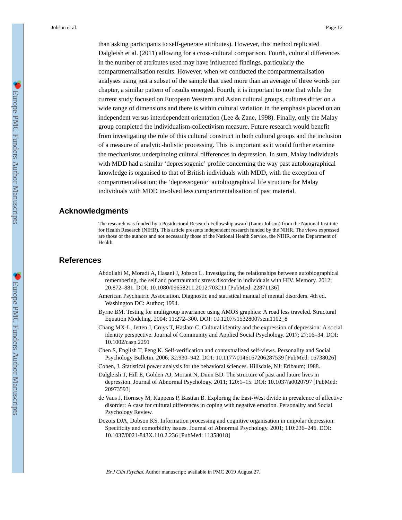than asking participants to self-generate attributes). However, this method replicated Dalgleish et al. (2011) allowing for a cross-cultural comparison. Fourth, cultural differences in the number of attributes used may have influenced findings, particularly the compartmentalisation results. However, when we conducted the compartmentalisation analyses using just a subset of the sample that used more than an average of three words per chapter, a similar pattern of results emerged. Fourth, it is important to note that while the current study focused on European Western and Asian cultural groups, cultures differ on a wide range of dimensions and there is within cultural variation in the emphasis placed on an independent versus interdependent orientation (Lee & Zane, 1998). Finally, only the Malay group completed the individualism-collectivism measure. Future research would benefit from investigating the role of this cultural construct in both cultural groups and the inclusion of a measure of analytic-holistic processing. This is important as it would further examine the mechanisms underpinning cultural differences in depression. In sum, Malay individuals with MDD had a similar 'depressogenic' profile concerning the way past autobiographical knowledge is organised to that of British individuals with MDD, with the exception of compartmentalisation; the 'depressogenic' autobiographical life structure for Malay individuals with MDD involved less compartmentalisation of past material.

#### **Acknowledgments**

The research was funded by a Postdoctoral Research Fellowship award (Laura Jobson) from the National Institute for Health Research (NIHR). This article presents independent research funded by the NIHR. The views expressed are those of the authors and not necessarily those of the National Health Service, the NIHR, or the Department of Health.

#### **References**

- Abdollahi M, Moradi A, Hasani J, Jobson L. Investigating the relationships between autobiographical remembering, the self and posttraumatic stress disorder in individuals with HIV. Memory. 2012; 20:872–881. DOI: 10.1080/09658211.2012.703211 [PubMed: 22871136]
- American Psychiatric Association. Diagnostic and statistical manual of mental disorders. 4th ed. Washington DC: Author; 1994.
- Byrne BM. Testing for multigroup invariance using AMOS graphics: A road less traveled. Structural Equation Modeling. 2004; 11:272–300. DOI: 10.1207/s15328007sem1102\_8
- Chang MX-L, Jetten J, Cruys T, Haslam C. Cultural identity and the expression of depression: A social identity perspective. Journal of Community and Applied Social Psychology. 2017; 27:16–34. DOI: 10.1002/casp.2291
- Chen S, English T, Peng K. Self-verification and contextualized self-views. Personality and Social Psychology Bulletin. 2006; 32:930–942. DOI: 10.1177/0146167206287539 [PubMed: 16738026]
- Cohen, J. Statistical power analysis for the behavioral sciences. Hillsdale, NJ: Erlbaum; 1988.
- Dalgleish T, Hill E, Golden AJ, Morant N, Dunn BD. The structure of past and future lives in depression. Journal of Abnormal Psychology. 2011; 120:1–15. DOI: 10.1037/a0020797 [PubMed: 20973593]
- de Vaus J, Hornsey M, Kuppens P, Bastian B. Exploring the East-West divide in prevalence of affective disorder: A case for cultural differences in coping with negative emotion. Personality and Social Psychology Review.
- Dozois DJA, Dobson KS. Information processing and cognitive organisation in unipolar depression: Specificity and comorbidity issues. Journal of Abnormal Psychology. 2001; 110:236–246. DOI: 10.1037/0021-843X.110.2.236 [PubMed: 11358018]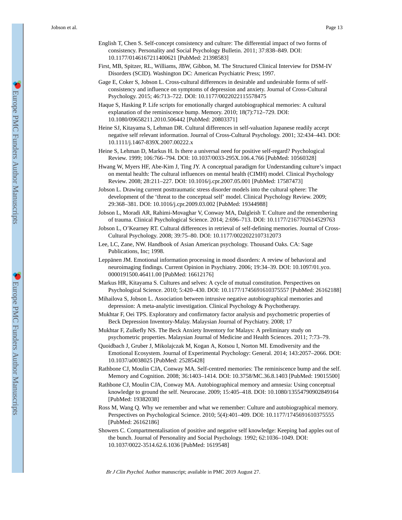- English T, Chen S. Self-concept consistency and culture: The differential impact of two forms of consistency. Personality and Social Psychology Bulletin. 2011; 37:838–849. DOI: 10.1177/0146167211400621 [PubMed: 21398583]
- First, MB, Spitzer, RL, Williams, JBW, Gibbon, M. The Structured Clinical Interview for DSM-IV Disorders (SCID). Washington DC: American Psychiatric Press; 1997.
- Gage E, Coker S, Jobson L. Cross-cultural differences in desirable and undesirable forms of selfconsistency and influence on symptoms of depression and anxiety. Journal of Cross-Cultural Psychology. 2015; 46:713–722. DOI: 10.1177/0022022115578475
- Haque S, Hasking P. Life scripts for emotionally charged autobiographical memories: A cultural explanation of the reminiscence bump. Memory. 2010; 18(7):712–729. DOI: 10.1080/09658211.2010.506442 [PubMed: 20803371]
- Heine SJ, Kitayama S, Lehman DR. Cultural differences in self-valuation Japanese readily accept negative self relevant information. Journal of Cross-Cultural Psychology. 2001; 32:434–443. DOI: 10.1111/j.1467-839X.2007.00222.x
- Heine S, Lehman D, Markus H. Is there a universal need for positive self-regard? Psychological Review. 1999; 106:766–794. DOI: 10.1037/0033-295X.106.4.766 [PubMed: 10560328]
- Hwang W, Myers HF, Abe-Kim J, Ting JY. A conceptual paradigm for Understanding culture's impact on mental health: The cultural influences on mental health (CIMH) model. Clinical Psychology Review. 2008; 28:211–227. DOI: 10.1016/j.cpr.2007.05.001 [PubMed: 17587473]
- Jobson L. Drawing current posttraumatic stress disorder models into the cultural sphere: The development of the 'threat to the conceptual self' model. Clinical Psychology Review. 2009; 29:368–381. DOI: 10.1016/j.cpr.2009.03.002 [PubMed: 19344988]
- Jobson L, Moradi AR, Rahimi-Movaghar V, Conway MA, Dalgleish T. Culture and the remembering of trauma. Clinical Psychological Science. 2014; 2:696–713. DOI: 10.1177/2167702614529763
- Jobson L, O'Kearney RT. Cultural differences in retrieval of self-defining memories. Journal of Cross-Cultural Psychology. 2008; 39:75–80. DOI: 10.1177/0022022107312073
- Lee, LC, Zane, NW. Handbook of Asian American psychology. Thousand Oaks. CA: Sage Publications, Inc; 1998.
- Leppänen JM. Emotional information processing in mood disorders: A review of behavioral and neuroimaging findings. Current Opinion in Psychiatry. 2006; 19:34–39. DOI: 10.1097/01.yco. 0000191500.46411.00 [PubMed: 16612176]
- Markus HR, Kitayama S. Cultures and selves: A cycle of mutual constitution. Perspectives on Psychological Science. 2010; 5:420–430. DOI: 10.1177/1745691610375557 [PubMed: 26162188]
- Mihailova S, Jobson L. Association between intrusive negative autobiographical memories and depression: A meta-analytic investigation. Clinical Psychology & Psychotherapy.
- Mukhtar F, Oei TPS. Exploratory and confirmatory factor analysis and psychometric properties of Beck Depression Inventory-Malay. Malaysian Journal of Psychiatry. 2008; 17
- Mukhtar F, Zulkefly NS. The Beck Anxiety Inventory for Malays: A preliminary study on psychometric properties. Malaysian Journal of Medicine and Health Sciences. 2011; 7:73–79.
- Quoidbach J, Gruber J, Mikolajczak M, Kogan A, Kotsou I, Norton MI. Emodiversity and the Emotional Ecosystem. Journal of Experimental Psychology: General. 2014; 143:2057–2066. DOI: 10.1037/a0038025 [PubMed: 25285428]
- Rathbone CJ, Moulin CJA, Conway MA. Self-centred memories: The reminiscence bump and the self. Memory and Cognition. 2008; 36:1403–1414. DOI: 10.3758/MC.36.8.1403 [PubMed: 19015500]
- Rathbone CJ, Moulin CJA, Conway MA. Autobiographical memory and amnesia: Using conceptual knowledge to ground the self. Neurocase. 2009; 15:405–418. DOI: 10.1080/13554790902849164 [PubMed: 19382038]
- Ross M, Wang Q. Why we remember and what we remember: Culture and autobiographical memory. Perspectives on Psychological Science. 2010; 5(4):401–409. DOI: 10.1177/1745691610375555 [PubMed: 26162186]
- Showers C. Compartmentalisation of positive and negative self knowledge: Keeping bad apples out of the bunch. Journal of Personality and Social Psychology. 1992; 62:1036–1049. DOI: 10.1037/0022-3514.62.6.1036 [PubMed: 1619548]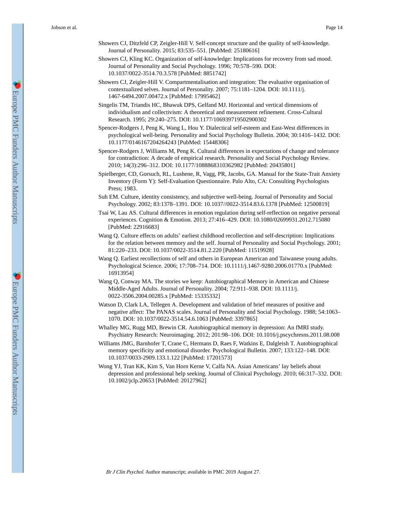- Showers CJ, Ditzfeld CP, Zeigler-Hill V. Self-concept structure and the quality of self-knowledge. Journal of Personality. 2015; 83:535–551. [PubMed: 25180616]
- Showers CJ, Kling KC. Organization of self-knowledge: Implications for recovery from sad mood. Journal of Personality and Social Psychology. 1996; 70:578–590. DOI: 10.1037/0022-3514.70.3.578 [PubMed: 8851742]
- Showers CJ, Zeigler-Hill V. Compartmentalisation and integration: The evaluative organisation of contextualized selves. Journal of Personality. 2007; 75:1181–1204. DOI: 10.1111/j. 1467-6494.2007.00472.x [PubMed: 17995462]
- Singelis TM, Triandis HC, Bhawuk DPS, Gelfand MJ. Horizontal and vertical dimensions of individualism and collectivism: A theoretical and measurement refinement. Cross-Cultural Research. 1995; 29:240–275. DOI: 10.1177/106939719502900302
- Spencer-Rodgers J, Peng K, Wang L, Hou Y. Dialectical self-esteem and East-West differences in psychological well-being. Personality and Social Psychology Bulletin. 2004; 30:1416–1432. DOI: 10.1177/0146167204264243 [PubMed: 15448306]
- Spencer-Rodgers J, Williams M, Peng K. Cultural differences in expectations of change and tolerance for contradiction: A decade of empirical research. Personality and Social Psychology Review. 2010; 14(3):296–312. DOI: 10.1177/1088868310362982 [PubMed: 20435801]
- Spielberger, CD, Gorsuch, RL, Lushene, R, Vagg, PR, Jacobs, GA. Manual for the State-Trait Anxiety Inventory (Form Y): Self-Evaluation Questionnaire. Palo Alto, CA: Consulting Psychologists Press; 1983.
- Suh EM. Culture, identity consistency, and subjective well-being. Journal of Personality and Social Psychology. 2002; 83:1378–1391. DOI: 10.1037//0022-3514.83.6.1378 [PubMed: 12500819]
- Tsai W, Lau AS. Cultural differences in emotion regulation during self-reflection on negative personal experiences. Cognition & Emotion. 2013; 27:416–429. DOI: 10.1080/02699931.2012.715080 [PubMed: 22916683]
- Wang Q. Culture effects on adults' earliest childhood recollection and self-description: Implications for the relation between memory and the self. Journal of Personality and Social Psychology. 2001; 81:220–233. DOI: 10.1037/0022-3514.81.2.220 [PubMed: 11519928]
- Wang Q. Earliest recollections of self and others in European American and Taiwanese young adults. Psychological Science. 2006; 17:708–714. DOI: 10.1111/j.1467-9280.2006.01770.x [PubMed: 16913954]
- Wang Q, Conway MA. The stories we keep: Autobiographical Memory in American and Chinese Middle-Aged Adults. Journal of Personality. 2004; 72:911–938. DOI: 10.1111/j. 0022-3506.2004.00285.x [PubMed: 15335332]
- Watson D, Clark LA, Tellegen A. Development and validation of brief measures of positive and negative affect: The PANAS scales. Journal of Personality and Social Psychology. 1988; 54:1063– 1070. DOI: 10.1037/0022-3514.54.6.1063 [PubMed: 3397865]
- Whalley MG, Rugg MD, Brewin CR. Autobiographical memory in depression: An fMRI study. Psychiatry Research: Neuroimaging. 2012; 201:98–106. DOI: 10.1016/j.pscychresns.2011.08.008
- Williams JMG, Barnhofer T, Crane C, Hermans D, Raes F, Watkins E, Dalgleish T. Autobiographical memory specificity and emotional disorder. Psychological Bulletin. 2007; 133:122–148. DOI: 10.1037/0033-2909.133.1.122 [PubMed: 17201573]
- Wong YJ, Tran KK, Kim S, Van Horn Kerne V, Calfa NA. Asian Americans' lay beliefs about depression and professional help seeking. Journal of Clinical Psychology. 2010; 66:317–332. DOI: 10.1002/jclp.20653 [PubMed: 20127962]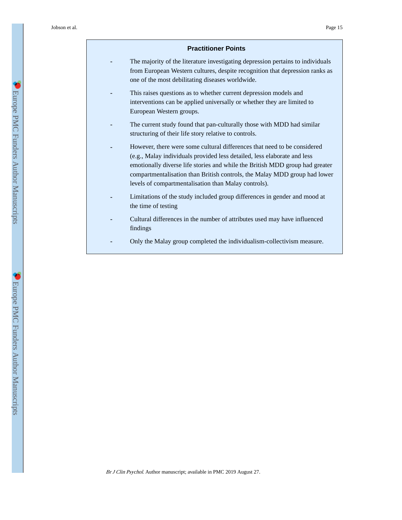#### **Practitioner Points**

- **-** The majority of the literature investigating depression pertains to individuals from European Western cultures, despite recognition that depression ranks as one of the most debilitating diseases worldwide.
- **-** This raises questions as to whether current depression models and interventions can be applied universally or whether they are limited to European Western groups.
- The current study found that pan-culturally those with MDD had similar structuring of their life story relative to controls.
- **-** However, there were some cultural differences that need to be considered (e.g., Malay individuals provided less detailed, less elaborate and less emotionally diverse life stories and while the British MDD group had greater compartmentalisation than British controls, the Malay MDD group had lower levels of compartmentalisation than Malay controls).
- **-** Limitations of the study included group differences in gender and mood at the time of testing
- **-** Cultural differences in the number of attributes used may have influenced findings
- **-** Only the Malay group completed the individualism-collectivism measure.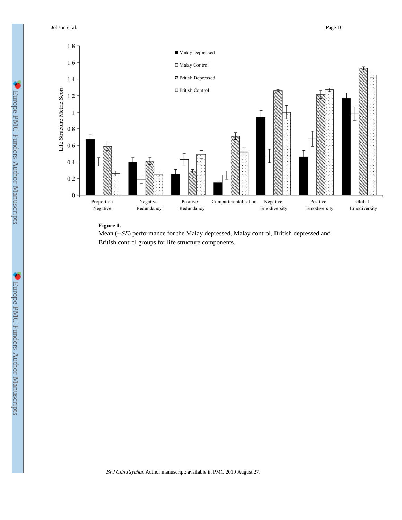Jobson et al. Page 16



#### **Figure 1.**

Mean (±SE) performance for the Malay depressed, Malay control, British depressed and British control groups for life structure components.